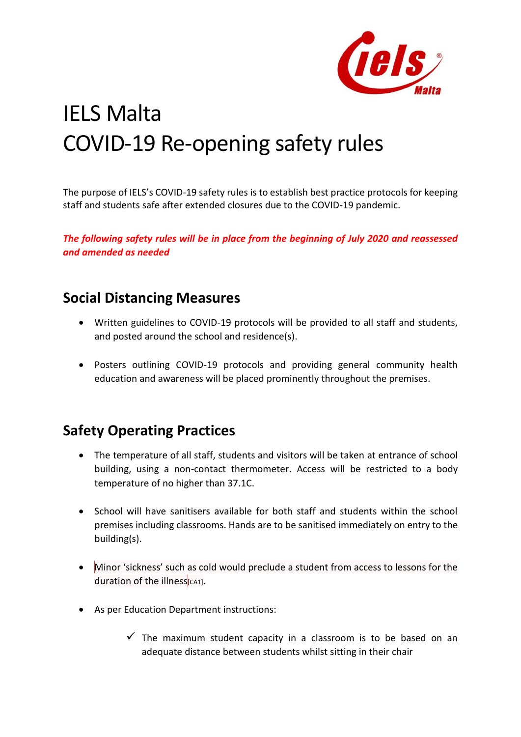

# IELS Malta COVID-19 Re-opening safety rules

The purpose of IELS's COVID-19 safety rules is to establish best practice protocols for keeping staff and students safe after extended closures due to the COVID-19 pandemic.

*The following safety rules will be in place from the beginning of July 2020 and reassessed and amended as needed*

### **Social Distancing Measures**

- Written guidelines to COVID-19 protocols will be provided to all staff and students, and posted around the school and residence(s).
- Posters outlining COVID-19 protocols and providing general community health education and awareness will be placed prominently throughout the premises.

# **Safety Operating Practices**

- The temperature of all staff, students and visitors will be taken at entrance of school building, using a non-contact thermometer. Access will be restricted to a body temperature of no higher than 37.1C.
- School will have sanitisers available for both staff and students within the school premises including classrooms. Hands are to be sanitised immediately on entry to the building(s).
- Minor 'sickness' such as cold would preclude a student from access to lessons for the duration of the illness $|<sub>CA1</sub>$ .
- As per Education Department instructions:
	- $\checkmark$  The maximum student capacity in a classroom is to be based on an adequate distance between students whilst sitting in their chair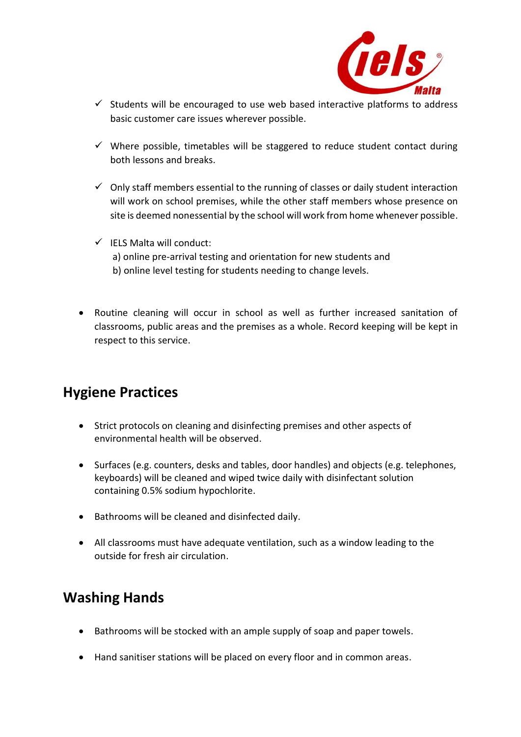

- $\checkmark$  Students will be encouraged to use web based interactive platforms to address basic customer care issues wherever possible.
- $\checkmark$  Where possible, timetables will be staggered to reduce student contact during both lessons and breaks.
- $\checkmark$  Only staff members essential to the running of classes or daily student interaction will work on school premises, while the other staff members whose presence on site is deemed nonessential by the school will work from home whenever possible.
- $\checkmark$  IELS Malta will conduct: a) online pre-arrival testing and orientation for new students and b) online level testing for students needing to change levels.
- Routine cleaning will occur in school as well as further increased sanitation of classrooms, public areas and the premises as a whole. Record keeping will be kept in respect to this service.

# **Hygiene Practices**

- Strict protocols on cleaning and disinfecting premises and other aspects of environmental health will be observed.
- Surfaces (e.g. counters, desks and tables, door handles) and objects (e.g. telephones, keyboards) will be cleaned and wiped twice daily with disinfectant solution containing 0.5% sodium hypochlorite.
- Bathrooms will be cleaned and disinfected daily.
- All classrooms must have adequate ventilation, such as a window leading to the outside for fresh air circulation.

# **Washing Hands**

- Bathrooms will be stocked with an ample supply of soap and paper towels.
- Hand sanitiser stations will be placed on every floor and in common areas.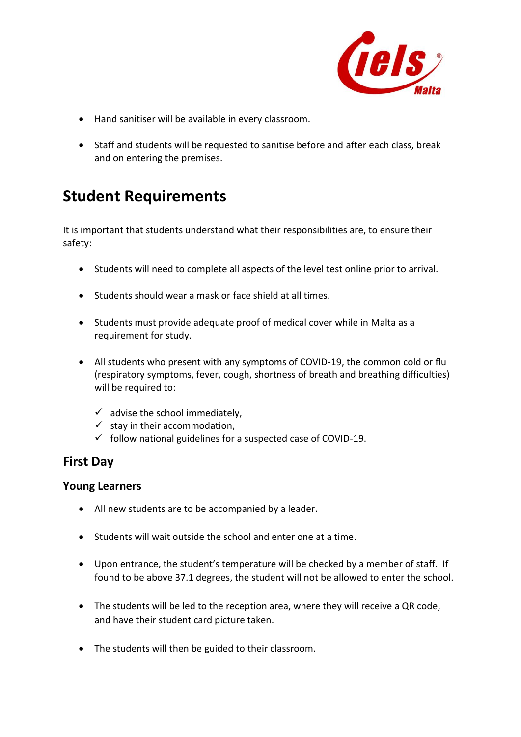

- Hand sanitiser will be available in every classroom.
- Staff and students will be requested to sanitise before and after each class, break and on entering the premises.

# **Student Requirements**

It is important that students understand what their responsibilities are, to ensure their safety:

- Students will need to complete all aspects of the level test online prior to arrival.
- Students should wear a mask or face shield at all times.
- Students must provide adequate proof of medical cover while in Malta as a requirement for study.
- All students who present with any symptoms of COVID-19, the common cold or flu (respiratory symptoms, fever, cough, shortness of breath and breathing difficulties) will be required to:
	- $\checkmark$  advise the school immediately,
	- $\checkmark$  stay in their accommodation,
	- $\checkmark$  follow national guidelines for a suspected case of COVID-19.

#### **First Day**

#### **Young Learners**

- All new students are to be accompanied by a leader.
- Students will wait outside the school and enter one at a time.
- Upon entrance, the student's temperature will be checked by a member of staff. If found to be above 37.1 degrees, the student will not be allowed to enter the school.
- The students will be led to the reception area, where they will receive a QR code, and have their student card picture taken.
- The students will then be guided to their classroom.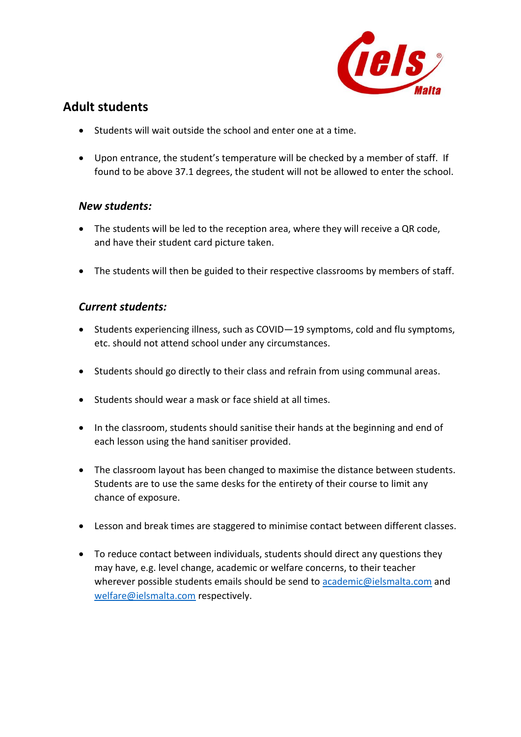

#### **Adult students**

- Students will wait outside the school and enter one at a time.
- Upon entrance, the student's temperature will be checked by a member of staff. If found to be above 37.1 degrees, the student will not be allowed to enter the school.

#### *New students:*

- The students will be led to the reception area, where they will receive a QR code, and have their student card picture taken.
- The students will then be guided to their respective classrooms by members of staff.

#### *Current students:*

- Students experiencing illness, such as COVID—19 symptoms, cold and flu symptoms, etc. should not attend school under any circumstances.
- Students should go directly to their class and refrain from using communal areas.
- Students should wear a mask or face shield at all times.
- In the classroom, students should sanitise their hands at the beginning and end of each lesson using the hand sanitiser provided.
- The classroom layout has been changed to maximise the distance between students. Students are to use the same desks for the entirety of their course to limit any chance of exposure.
- Lesson and break times are staggered to minimise contact between different classes.
- To reduce contact between individuals, students should direct any questions they may have, e.g. level change, academic or welfare concerns, to their teacher wherever possible students emails should be send to [academic@ielsmalta.com](mailto:academic@ielsmalta.com) and [welfare@ielsmalta.com](mailto:welfare@ielsmalta.com) respectively.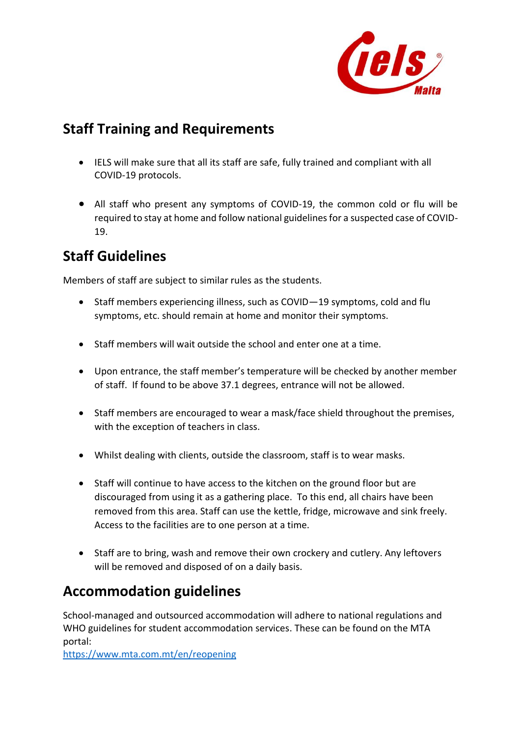

## **Staff Training and Requirements**

- IELS will make sure that all its staff are safe, fully trained and compliant with all COVID-19 protocols.
- All staff who present any symptoms of COVID-19, the common cold or flu will be required to stay at home and follow national guidelines for a suspected case of COVID-19.

# **Staff Guidelines**

Members of staff are subject to similar rules as the students.

- Staff members experiencing illness, such as COVID—19 symptoms, cold and flu symptoms, etc. should remain at home and monitor their symptoms.
- Staff members will wait outside the school and enter one at a time.
- Upon entrance, the staff member's temperature will be checked by another member of staff. If found to be above 37.1 degrees, entrance will not be allowed.
- Staff members are encouraged to wear a mask/face shield throughout the premises, with the exception of teachers in class.
- Whilst dealing with clients, outside the classroom, staff is to wear masks.
- Staff will continue to have access to the kitchen on the ground floor but are discouraged from using it as a gathering place. To this end, all chairs have been removed from this area. Staff can use the kettle, fridge, microwave and sink freely. Access to the facilities are to one person at a time.
- Staff are to bring, wash and remove their own crockery and cutlery. Any leftovers will be removed and disposed of on a daily basis.

# **Accommodation guidelines**

School-managed and outsourced accommodation will adhere to national regulations and WHO guidelines for student accommodation services. These can be found on the MTA portal:

<https://www.mta.com.mt/en/reopening>